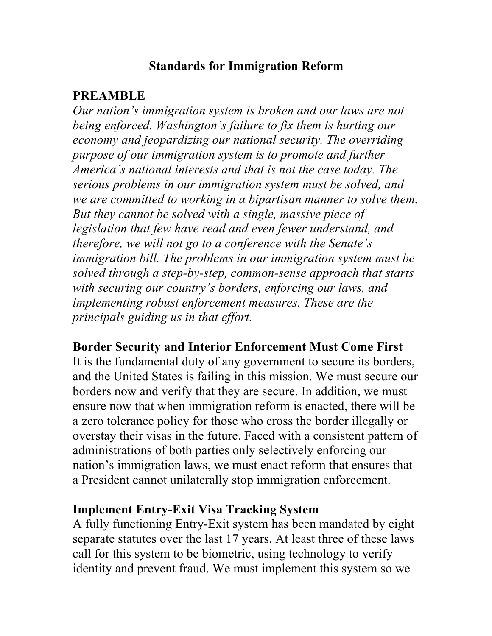## **Standards for Immigration Reform**

### **PREAMBLE**

*Our nation's immigration system is broken and our laws are not being enforced. Washington's failure to fix them is hurting our economy and jeopardizing our national security. The overriding purpose of our immigration system is to promote and further America's national interests and that is not the case today. The serious problems in our immigration system must be solved, and we are committed to working in a bipartisan manner to solve them. But they cannot be solved with a single, massive piece of legislation that few have read and even fewer understand, and therefore, we will not go to a conference with the Senate's immigration bill. The problems in our immigration system must be solved through a step-by-step, common-sense approach that starts with securing our country's borders, enforcing our laws, and implementing robust enforcement measures. These are the principals guiding us in that effort.*

#### **Border Security and Interior Enforcement Must Come First**

It is the fundamental duty of any government to secure its borders, and the United States is failing in this mission. We must secure our borders now and verify that they are secure. In addition, we must ensure now that when immigration reform is enacted, there will be a zero tolerance policy for those who cross the border illegally or overstay their visas in the future. Faced with a consistent pattern of administrations of both parties only selectively enforcing our nation's immigration laws, we must enact reform that ensures that a President cannot unilaterally stop immigration enforcement.

#### **Implement Entry-Exit Visa Tracking System**

A fully functioning Entry-Exit system has been mandated by eight separate statutes over the last 17 years. At least three of these laws call for this system to be biometric, using technology to verify identity and prevent fraud. We must implement this system so we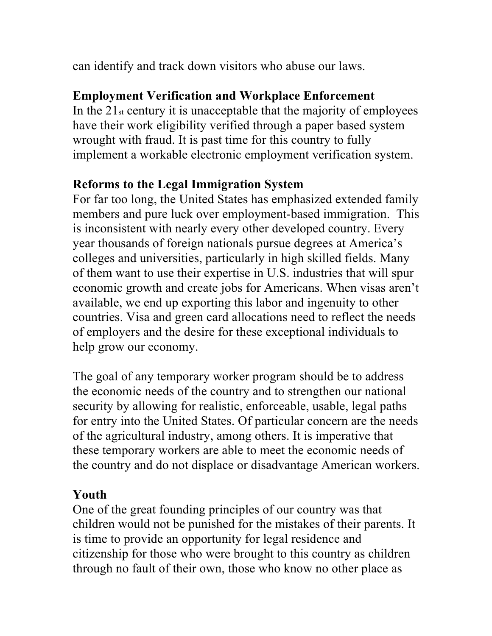can identify and track down visitors who abuse our laws.

# **Employment Verification and Workplace Enforcement**

In the  $21<sub>st</sub>$  century it is unacceptable that the majority of employees have their work eligibility verified through a paper based system wrought with fraud. It is past time for this country to fully implement a workable electronic employment verification system.

# **Reforms to the Legal Immigration System**

For far too long, the United States has emphasized extended family members and pure luck over employment-based immigration. This is inconsistent with nearly every other developed country. Every year thousands of foreign nationals pursue degrees at America's colleges and universities, particularly in high skilled fields. Many of them want to use their expertise in U.S. industries that will spur economic growth and create jobs for Americans. When visas aren't available, we end up exporting this labor and ingenuity to other countries. Visa and green card allocations need to reflect the needs of employers and the desire for these exceptional individuals to help grow our economy.

The goal of any temporary worker program should be to address the economic needs of the country and to strengthen our national security by allowing for realistic, enforceable, usable, legal paths for entry into the United States. Of particular concern are the needs of the agricultural industry, among others. It is imperative that these temporary workers are able to meet the economic needs of the country and do not displace or disadvantage American workers.

### **Youth**

One of the great founding principles of our country was that children would not be punished for the mistakes of their parents. It is time to provide an opportunity for legal residence and citizenship for those who were brought to this country as children through no fault of their own, those who know no other place as